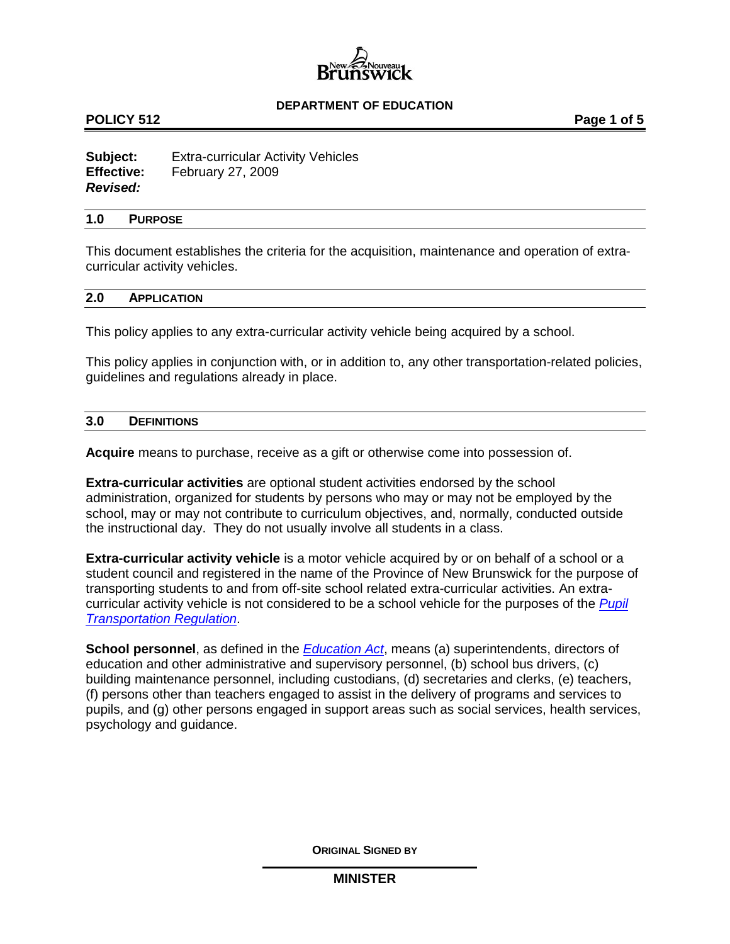

## **POLICY 512 POLICY 512**

**Subject:** Extra-curricular Activity Vehicles **Effective:** February 27, 2009 *Revised:*

#### **1.0 PURPOSE**

This document establishes the criteria for the acquisition, maintenance and operation of extracurricular activity vehicles.

#### **2.0 APPLICATION**

This policy applies to any extra-curricular activity vehicle being acquired by a school.

This policy applies in conjunction with, or in addition to, any other transportation-related policies, guidelines and regulations already in place.

### **3.0 DEFINITIONS**

**Acquire** means to purchase, receive as a gift or otherwise come into possession of.

**Extra-curricular activities** are optional student activities endorsed by the school administration, organized for students by persons who may or may not be employed by the school, may or may not contribute to curriculum objectives, and, normally, conducted outside the instructional day. They do not usually involve all students in a class.

**Extra-curricular activity vehicle** is a motor vehicle acquired by or on behalf of a school or a student council and registered in the name of the Province of New Brunswick for the purpose of transporting students to and from off-site school related extra-curricular activities. An extracurricular activity vehicle is not considered to be a school vehicle for the purposes of the *[Pupil](http://laws.gnb.ca/en/ShowPdf/cr/2001-51.pdf)  [Transportation Regulation](http://laws.gnb.ca/en/ShowPdf/cr/2001-51.pdf)*.

**School personnel**, as defined in the *[Education Act](http://laws.gnb.ca/en/ShowPdf/cs/E-1.12.pdf)*, means (a) superintendents, directors of education and other administrative and supervisory personnel, (b) school bus drivers, (c) building maintenance personnel, including custodians, (d) secretaries and clerks, (e) teachers, (f) persons other than teachers engaged to assist in the delivery of programs and services to pupils, and (g) other persons engaged in support areas such as social services, health services, psychology and guidance.

**ORIGINAL SIGNED BY**

**MINISTER**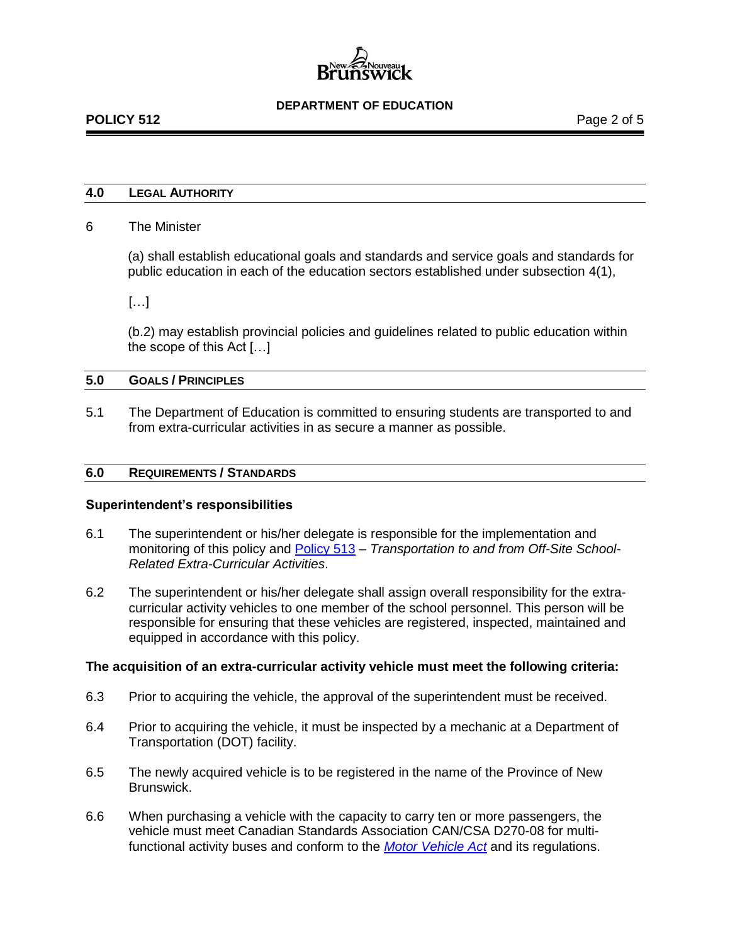## **4.0 LEGAL AUTHORITY**

## 6 The Minister

(a) shall establish educational goals and standards and service goals and standards for public education in each of the education sectors established under subsection 4(1),

[…]

(b.2) may establish provincial policies and guidelines related to public education within the scope of this Act […]

## **5.0 GOALS / PRINCIPLES**

5.1 The Department of Education is committed to ensuring students are transported to and from extra-curricular activities in as secure a manner as possible.

## **6.0 REQUIREMENTS / STANDARDS**

#### **Superintendent's responsibilities**

- 6.1 The superintendent or his/her delegate is responsible for the implementation and monitoring of this policy and [Policy 513](http://www2.gnb.ca/content/dam/gnb/Departments/ed/pdf/K12/policies-politiques/e/513A.pdf) – *Transportation to and from Off-Site School-Related Extra-Curricular Activities*.
- 6.2 The superintendent or his/her delegate shall assign overall responsibility for the extracurricular activity vehicles to one member of the school personnel. This person will be responsible for ensuring that these vehicles are registered, inspected, maintained and equipped in accordance with this policy.

#### **The acquisition of an extra-curricular activity vehicle must meet the following criteria:**

- 6.3 Prior to acquiring the vehicle, the approval of the superintendent must be received.
- 6.4 Prior to acquiring the vehicle, it must be inspected by a mechanic at a Department of Transportation (DOT) facility.
- 6.5 The newly acquired vehicle is to be registered in the name of the Province of New Brunswick.
- 6.6 When purchasing a vehicle with the capacity to carry ten or more passengers, the vehicle must meet Canadian Standards Association CAN/CSA D270-08 for multifunctional activity buses and conform to the *[Motor Vehicle Act](http://laws.gnb.ca/en/ShowPdf/cs/M-17.pdf)* and its regulations.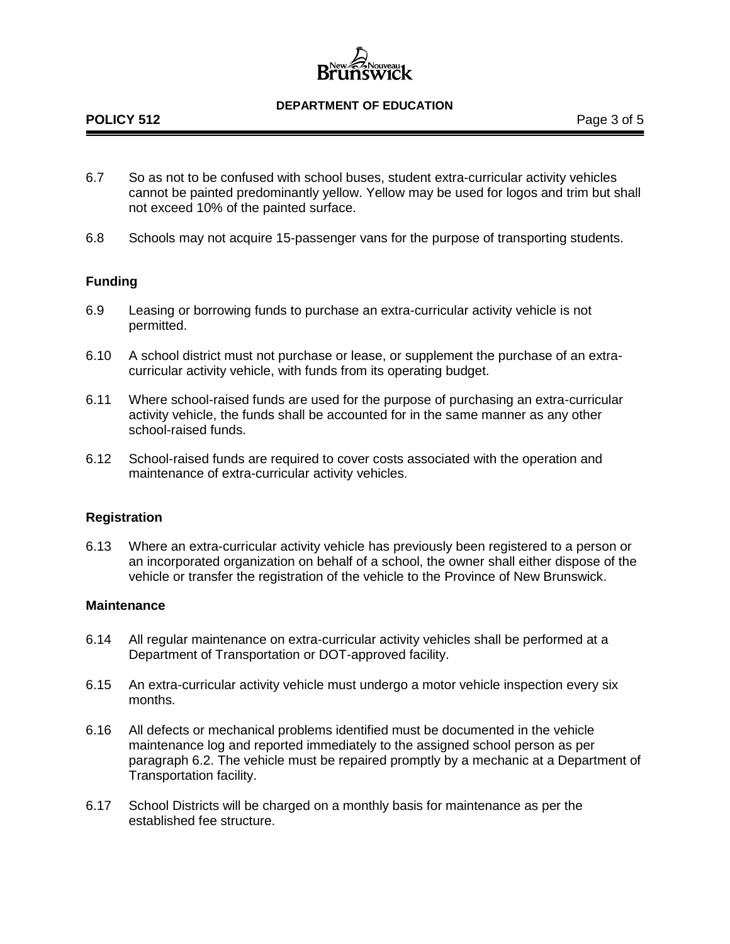- 6.7 So as not to be confused with school buses, student extra-curricular activity vehicles cannot be painted predominantly yellow. Yellow may be used for logos and trim but shall not exceed 10% of the painted surface.
- 6.8 Schools may not acquire 15-passenger vans for the purpose of transporting students.

# **Funding**

- 6.9 Leasing or borrowing funds to purchase an extra-curricular activity vehicle is not permitted.
- 6.10 A school district must not purchase or lease, or supplement the purchase of an extracurricular activity vehicle, with funds from its operating budget.
- 6.11 Where school-raised funds are used for the purpose of purchasing an extra-curricular activity vehicle, the funds shall be accounted for in the same manner as any other school-raised funds.
- 6.12 School-raised funds are required to cover costs associated with the operation and maintenance of extra-curricular activity vehicles.

# **Registration**

6.13 Where an extra-curricular activity vehicle has previously been registered to a person or an incorporated organization on behalf of a school, the owner shall either dispose of the vehicle or transfer the registration of the vehicle to the Province of New Brunswick.

### **Maintenance**

- 6.14 All regular maintenance on extra-curricular activity vehicles shall be performed at a Department of Transportation or DOT-approved facility.
- 6.15 An extra-curricular activity vehicle must undergo a motor vehicle inspection every six months.
- 6.16 All defects or mechanical problems identified must be documented in the vehicle maintenance log and reported immediately to the assigned school person as per paragraph 6.2. The vehicle must be repaired promptly by a mechanic at a Department of Transportation facility.
- 6.17 School Districts will be charged on a monthly basis for maintenance as per the established fee structure.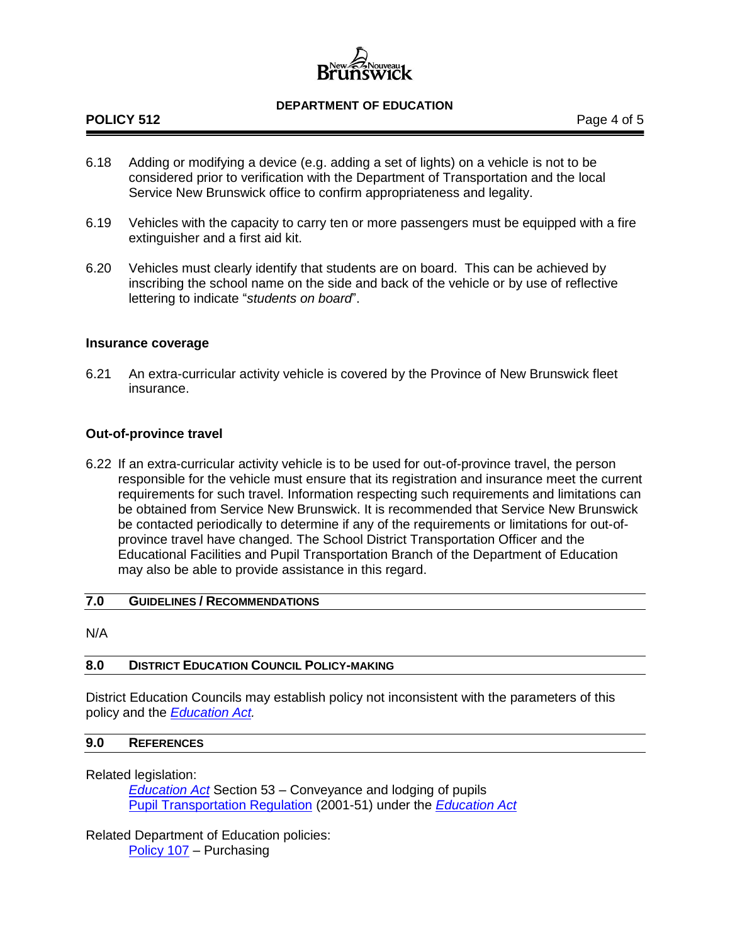# **POLICY 512** POLICY 512

- 6.18 Adding or modifying a device (e.g. adding a set of lights) on a vehicle is not to be considered prior to verification with the Department of Transportation and the local Service New Brunswick office to confirm appropriateness and legality.
- 6.19 Vehicles with the capacity to carry ten or more passengers must be equipped with a fire extinguisher and a first aid kit.
- 6.20 Vehicles must clearly identify that students are on board. This can be achieved by inscribing the school name on the side and back of the vehicle or by use of reflective lettering to indicate "*students on board*".

## **Insurance coverage**

6.21 An extra-curricular activity vehicle is covered by the Province of New Brunswick fleet insurance.

# **Out-of-province travel**

6.22 If an extra-curricular activity vehicle is to be used for out-of-province travel, the person responsible for the vehicle must ensure that its registration and insurance meet the current requirements for such travel. Information respecting such requirements and limitations can be obtained from Service New Brunswick. It is recommended that Service New Brunswick be contacted periodically to determine if any of the requirements or limitations for out-ofprovince travel have changed. The School District Transportation Officer and the Educational Facilities and Pupil Transportation Branch of the Department of Education may also be able to provide assistance in this regard.

#### **7.0 GUIDELINES / RECOMMENDATIONS**

N/A

# **8.0 DISTRICT EDUCATION COUNCIL POLICY-MAKING**

District Education Councils may establish policy not inconsistent with the parameters of this policy and the *[Education Act.](http://laws.gnb.ca/en/ShowPdf/cs/E-1.12.pdf)*

## **9.0 REFERENCES**

Related legislation:

*[Education Act](http://laws.gnb.ca/en/ShowPdf/cs/E-1.12.pdf)* Section 53 – Conveyance and lodging of pupils [Pupil Transportation Regulation](http://laws.gnb.ca/en/ShowPdf/cr/2001-51.pdf) (2001-51) under the *[Education Act](http://laws.gnb.ca/en/ShowPdf/cs/E-1.12.pdf)*

Related Department of Education policies: [Policy 107](http://www2.gnb.ca/content/dam/gnb/Departments/ed/pdf/K12/policies-politiques/e/107A.pdf) *–* Purchasing